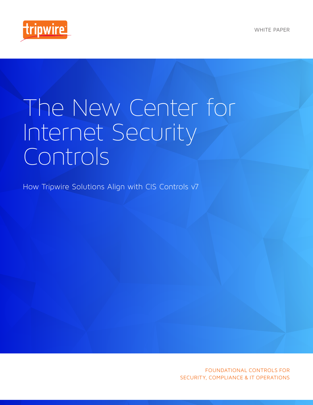

# The New Center for Internet Security Controls

How Tripwire Solutions Align with CIS Controls v7

FOUNDATIONAL CONTROLS FOR SECURITY, COMPLIANCE & IT OPERATIONS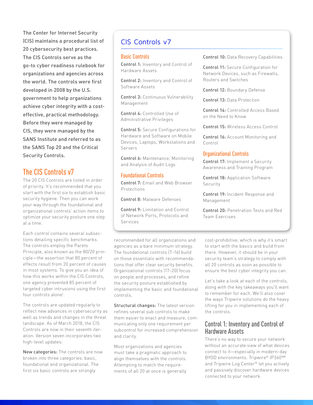The Center for Internet Security (CIS) maintains a procedural list of 20 cybersecurity best practices. The CIS Controls serve as the go-to cyber readiness rulebook for organizations and agencies across the world. The controls were first developed in 2008 by the U.S. government to help organizations achieve cyber integrity with a costeffective, practical methodology. Before they were managed by CIS, they were managed by the SANS Institute and referred to as the SANS Top 20 and the Critical Security Controls.

# The CIS Controls v7

The 20 CIS Controls are listed in order of priority. It's recommended that you start with the first six to establish basic security hygiene. Then you can work your way through the foundational and organizational controls' action items to optimize your security posture one step at a time.

Each control contains several subsections detailing specific benchmarks. The controls employ the Pareto Principle, also known as the 80/20 principle—the assertion that 80 percent of effects result from 20 percent of causes in most systems. To give you an idea of how this works within the CIS Controls, one agency prevented 85 percent of targeted cyber intrusions using the first four controls alone1 .

The controls are updated regularly to reflect new advances in cybersecurity as well as trends and changes in the threat landscape. As of March 2018, the CIS Controls are now in their seventh iteration. Version seven incorporates two high-level updates:

New categories: The controls are now broken into three categories: basic, foundational and organizational. The first six basic controls are strongly

# CIS Controls v7

#### Basic Controls

Control 1: Inventory and Control of Hardware Assets

Control 2: Inventory and Control of Software Assets

Control 3: Continuous Vulnerability Management

Control 4: Controlled Use of Administrative Privileges

Control 5: Secure Configurations for Hardware and Software on Mobile Devices, Laptops, Workstations and Servers

Control 6: Maintenance, Monitoring and Analysis of Audit Logs

## Foundational Controls

Control 7: Email and Web Browser Protections

Control 8: Malware Defenses

Control 9: Limitation and Control of Network Ports, Protocols and Services

Control 10: Data Recovery Capabilities

Control 11: Secure Configuration for Network Devices, such as Firewalls, Routers and Switches

Control 12: Boundary Defense

Control 13: Data Protection

Control 14: Controlled Access Based on the Need to Know

Control 15: Wireless Access Control

Control 16: Account Monitoring and Control

#### Organizational Controls

Control 17: Implement a Security Awareness and Training Program

Control 18: Application Software **Security** 

Control 19: Incident Response and Management

Control 20: Penetration Tests and Red Team Exercises

recommended for all organizations and agencies as a bare minimum strategy. The foundational controls (7–16) build on those essentials with recommendations that offer clear security benefits. Organizational controls (17–20) focus on people and processes, and refine the security posture established by implementing the basic and foundational controls.

Structural changes: The latest version refines several sub controls to make them easier to enact and measure, communicating only one requirement per subcontrol for increased comprehension and clarity.

Most organizations and agencies must take a pragmatic approach to align themselves with the controls. Attempting to match the requirements of all 20 at once is generally

cost-prohibitive, which is why it's smart to start with the basics and build from there. However, it should be in your security team's strategy to comply with all 20 controls as soon as possible to ensure the best cyber integrity you can.

Let's take a look at each of the controls, along with the key takeaways you'll want to remember for each. We'll also cover the ways Tripwire solutions do the heavy lifting for you in implementing each of the controls.

## Control 1: Inventory and Control of Hardware Assets

There's no way to secure your network without an accurate view of what devices connect to it—especially in modern-day BYOD environments. Tripwire® IP360™ and Tripwire Log Center® let you actively and passively discover hardware devices connected to your network.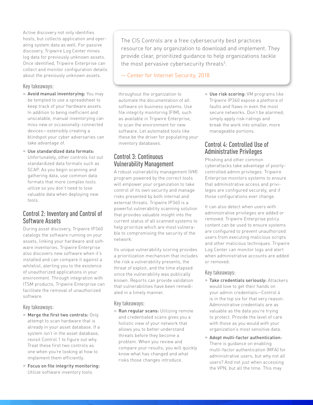Active discovery not only identifies hosts, but collects application and operating system data as well. For passive discovery, Tripwire Log Center mines log data for previously unknown assets. Once identified, Tripwire Enterprise can collect and monitor configuration details about the previously unknown assets.

#### Key takeaways:

- » Avoid manual inventorying: You may be tempted to use a spreadsheet to keep track of your hardware assets. In addition to being inefficient and unscalable, manual inventorying can miss new or occasionally-connected devices—ostensibly creating a blindspot your cyber adversaries can take advantage of.
- » Use standardized data formats: Unfortunately, other controls list out standardized data formats such as SCAP. As you begin scanning and gathering data, use common data formats that more complex tools utilize so you don't need to lose valuable data when deploying new tools.

## Control 2: Inventory and Control of Software Assets

During asset discovery, Tripwire IP360 catalogs the software running on your assets, linking your hardware and software inventories. Tripwire Enterprise also discovers new software when it's installed and can compare it against a whitelist, alerting you to the existence of unauthorized applications in your environment. Through integration with ITSM products, Tripwire Enterprise can facilitate the removal of unauthorized software.

### Key takeaways:

- » Merge the first two controls: Only attempt to scan hardware that is already in your asset database. If a system isn't in the asset database, revisit Control 1 to figure out why. Treat these first two controls as one when you're looking at how to implement them efficiently.
- » Focus on file integrity monitoring: Utilize software inventory tools

The CIS Controls are a free cybersecurity best practices resource for any organization to download and implement. They provide clear, prioritized guidance to help organizations tackle the most pervasive cybersecurity threats<sup>3</sup>.

— Center for Internet Security, 2018

throughout the organization to automate the documentation of all software on business systems. Use file integrity monitoring (FIM), such as available in Tripwire Enterprise, to scan the environment for new software. Let automated tools like these be the driver for populating your inventory databases.

## Control 3: Continuous Vulnerability Management

A robust vulnerability management (VM) program powered by the correct tools will empower your organization to take control of its own security and manage risks presented by both internal and external threats. Tripwire IP360 is a powerful vulnerability scanning solution that provides valuable insight into the current status of all scanned systems to help prioritize which are most vulnerable to compromising the security of the network.

Its unique vulnerability scoring provides a prioritization mechanism that includes the risk a vulnerability presents, the threat of exploit, and the time elapsed since the vulnerability was publically known. Reports can provide validation that vulnerabilities have been remediated in a timely manner.

#### Key takeaways:

» Run regular scans: Utilizing remote and credentialed scans gives you a holistic view of your network that allows you to better understand threats before they become a problem. When you review and compare your results, you will quickly know what has changed and what risks those changes introduce.

» Use risk scoring: VM programs like Tripwire IP360 expose a plethora of faults and flaws in even the most secure networks. Don't be alarmed; simply apply risk-ratings and break the work into smaller, more manageable portions.

## Control 4: Controlled Use of Administrative Privileges

Phishing and other common cyberattacks take advantage of poorlycontrolled admin privileges. Tripwire Enterprise monitors systems to ensure that administrative access and privileges are configured securely, and if those configurations ever change.

It can also detect when users with administrative privileges are added or removed. Tripwire Enterprise policy content can be used to ensure systems are configured to prevent unauthorized users from executing malicious scripts and other malicious techniques. Tripwire Log Center can monitor logs and alert when administrative accounts are added or removed.

#### Key takeaways:

- » Take credentials seriously: Attackers would love to get their hands on your admin credentials—Control 4 is in the top six for that very reason. Administrative credentials are as valuable as the data you're trying to protect. Provide the level of care with those as you would with your organization's most sensitive data.
- » Adopt multi-factor authentication: There is guidance on enabling multi-factor authentication (MFA) for administrative users, but why not all users? And not just when accessing the VPN, but all the time. This may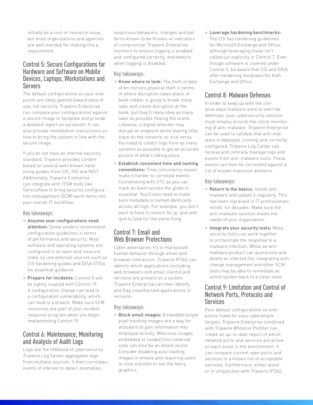initially be a cost or resource issue, but most organizations and agencies are well overdue for making this a requirement.

## Control 5: Secure Configurations for Hardware and Software on Mobile Devices, Laptops, Workstations and Servers

The default configurations on your endpoints are likely geared toward ease of use, not security. Tripwire Enterprise can compare your configurations against a secure image or template and provide a detailed report on variances. It can also provide remediation instructions on how to bring the system in line with the secure image.

If you do not have an internal security standard, Tripwire provides content based on several well-known hardening guides from CIS, ISO and NIST. Additionally, Tripwire Enterprise can integrate with ITSM tools like ServiceNow to bring security configuration management (SCM) work items into your overall IT workflow.

### Key takeaways:

- » Assume your configurations need attention: Some vendors recommend configuration guidelines in terms of performance and security. Most software and operating systems are configured in an open and insecure state, so use external sources such as CIS hardening guides and DISA STIGs for essential guidance.
- » Prepare for incidents: Control 5 will be tightly coupled with Control 19. A configuration change can lead to a configuration vulnerability, which can lead to a breach. Make sure SCM resources are part of your incident response program when you begin implementing Control 19.

## Control 6: Maintenance, Monitoring and Analysis of Audit Logs

Logs are the lifeblood of cybersecurity. Tripwire Log Center aggregates logs from multiple sources. It then correlates events of interest to detect anomalies,

suspicious behaviors, changes and patterns known to be threats or indicators of compromise. Tripwire Enterprise monitors to ensure logging is enabled and configured correctly, and detects when logging is disabled.

## Key takeaways:

- » Know where to look: The theft of data often mirrors physical theft in terms of where disruption takes place. A bank robber is going to break many laws and create disruption at the bank, but they'll likely obey as many laws as possible fleeing the scene. Likewise, a digital attacker may disrupt an endpoint while leaving little trace on the network, or vice-versa. You need to collect logs from as many systems as possible to get an accurate picture of what's taking place.
- » Establish consistent time and naming conventions: Time consistency issues make it harder to correlate events. Coordinating with UTC so you can track an event across the globe is essential. You'll also need to make sure metadata is named identically across all logs. For example, you don't want to have to search for ip, ipv4 and ipv4 to look for the same thing.

# Control 7: Email and Web Browser Protections

Cyber adversaries try to manipulate human behavior through email and browser interaction. Tripwire IP360 can identify which applications (including web browsers and email clients) and versions are present on a system. Tripwire Enterprise can then identify and flag unauthorized applications or versions.

### Key takeaways:

» Block email images: Embedded single pixel tracking images are a way for attackers to gain information into employee activity. Malicious images embedded or loaded from external sites can also be an attack vector. Consider disabling auto-loading images in emails and requiring users to click a button to see the fancy graphics.

» Leverage hardening benchmarks: The CIS has hardening guidelines for Microsoft Exchange and Office, although leveraging those isn't called out explicitly in Control 7. Even though software is covered under Control 5, be aware that CIS and DISA offer hardening templates for both Exchange and Office.

# Control 8: Malware Defenses

In order to keep up with the creative ways malware aims to override defenses, your cybersecurity solution must employ around-the-clock monitoring of anti-malware. Tripwire Enterprise can be used to validate that anti-malware is deployed, running and correctly configured. Tripwire Log Center can receive and centrally manage logs and events from anti-malware tools. These events can then be correlated against a list of known malicious domains.

#### Key takeaways:

- » Return to the basics: Install antimalware and update it regularly. This has been ingrained in IT professionals minds' for decades. Make sure the anti-malware solution meets the needs of your organization.
- » Integrate your security tools: Many security tools can work together to orchestrate the response to a malware infection. While an antimalware product can quarantine and delete an infected file, integrating with change management and other SCM tools may be able to remediate an entire system back to a clean state.

## Control 9: Limitation and Control of Network Ports, Protocols and Services

Poor default configurations on endpoints make for easy cyberattack targets. Tripwire Enterprise combined with Tripwire Whitelist Profiler can create an up-to-date report of which network ports and services are active on each asset in the environment. It can compare current open ports and services to a known list of acceptable services. Furthermore, either alone or in conjunction with Tripwire IP360,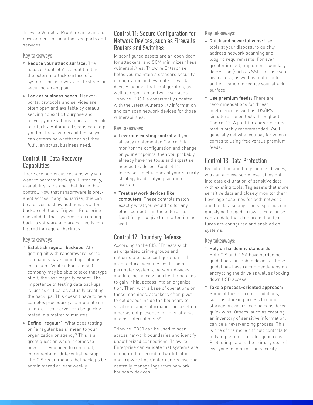Tripwire Whitelist Profiler can scan the environment for unauthorized ports and services.

### Key takeaways:

- » Reduce your attack surface: The focus of Control 9 is about limiting the external attack surface of a system. This is always the first step in securing an endpoint.
- » Look at business needs: Network ports, protocols and services are often open and available by default, serving no explicit purpose and leaving your systems more vulnerable to attacks. Automated scans can help you find these vulnerabilities so you can determine whether or not they fulfill an actual business need.

## Control 10: Data Recovery Capabilities

There are numerous reasons why you want to perform backups. Historically, availability is the goal that drove this control. Now that ransomware is prevalent across many industries, this can be a driver to show additional ROI for backup solutions. Tripwire Enterprise can validate that systems are running backup software and are correctly configured for regular backups.

### Key takeaways:

- » Establish regular backups: After getting hit with ransomware, some companies have ponied up millions in ransom. While a Fortune 500 company may be able to take that type of hit, the vast majority cannot. The importance of testing data backups is just as critical as actually creating the backups. This doesn't have to be a complex procedure; a sample file on a non-critical server can be quickly tested in a matter of minutes.
- » Define "regular": What does testing on "a regular basis" mean to your organization or agency? This is a great question when it comes to how often you need to run a full, incremental or differential backup. The CIS recommends that backups be administered at least weekly.

## Control 11: Secure Configuration for Network Devices, such as Firewalls, Routers and Switches

Misconfigured assets are an open door for attackers, and SCM minimizes these vulnerabilities. Tripwire Enterprise helps you maintain a standard security configuration and evaluate network devices against that configuration, as well as report on software versions. Tripwire IP360 is consistently updated with the latest vulnerability information and can scan network devices for those vulnerabilities.

### Key takeaways:

- » Leverage existing controls: If you already implemented Control 5 to monitor the configuration and change on your endpoints, then you probably already have the tools and expertise needed to address Control 11. Increase the efficiency of your security strategy by identifying solution overlap.
- » Treat network devices like computers: These controls match exactly what you would do for any other computer in the enterprise. Don't forget to give them attention as well.

# Control 12: Boundary Defense

According to the CIS, "Threats such as organized crime groups and nation-states use configuration and architectural weaknesses found on perimeter systems, network devices and Internet-accessing client machines to gain initial access into an organization. Then, with a base of operations on these machines, attackers often pivot to get deeper inside the boundary to steal or change information or to set up a persistent presence for later attacks against internal hosts<sup>2</sup>."

Tripwire IP360 can be used to scan across network boundaries and identify unauthorized connections. Tripwire Enterprise can validate that systems are configured to record network traffic, and Tripwire Log Center can receive and centrally manage logs from network boundary devices.

### Key takeaways:

- » Quick and powerful wins: Use tools at your disposal to quickly address network scanning and logging requirements. For even greater impact, implement boundary decryption (such as SSL) to raise your awareness, as well as multi-factor authentication to reduce your attack surface.
- » Use premium feeds: There are recommendations for threat intelligence as well as IDS/IPS signature-based tools throughout Control 12. A paid-for and/or curated feed is highly recommended. You'll generally get what you pay for when it comes to using free versus premium feeds.

# Control 13: Data Protection

By collecting audit logs across devices, you can achieve some level of insight into data exfiltration of sensitive data with existing tools. Tag assets that store sensitive data and closely monitor them. Leverage baselines for both network and file data so anything suspicious can quickly be flagged. Tripwire Enterprise can validate that data protection features are configured and enabled on systems.

### Key takeaways:

- » Rely on hardening standards: Both CIS and DISA have hardening guidelines for mobile devices. These guidelines have recommendations on encrypting the drive as well as locking down USB access.
- » Take a process-oriented approach: Some of these recommendations, such as blocking access to cloud storage providers, can be considered quick wins. Others, such as creating an inventory of sensitive information, can be a never-ending process. This is one of the more difficult controls to fully implement—and for good reason. Protecting data is the primary goal of everyone in information security.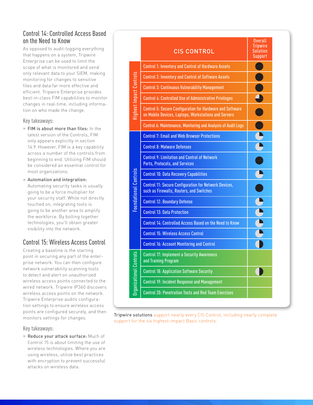## Control 14: Controlled Access Based on the Need to Know

As opposed to audit-logging everything that happens on a system, Tripwire Enterprise can be used to limit the scope of what is monitored and send only relevant data to your SIEM, making monitoring for changes to sensitive files and data far more effective and efficient. Tripwire Enterprise provides best-in-class FIM capabilities to monitor changes in real-time, including information on who made the change.

## Key takeaways:

» FIM is about more than files: In the latest version of the Controls, FIM only appears explicitly in section 14.9. However, FIM is a key capability across a number of the controls from beginning to end. Utilizing FIM should be considered an essential control for most organizations.

» Automation and integration: Automating security tasks is usually going to be a force multiplier for your security staff. While not directly touched on, integrating tools is going to be another area to amplify the workforce. By bolting together technologies, you'll obtain greater visibility into the network.

# Control 15: Wireless Access Control

Creating a baseline is the starting point in securing any part of the enterprise network. You can then configure network vulnerability scanning tools to detect and alert on unauthorized wireless access points connected to the wired network. Tripwire IP360 discovers wireless access points on the network. Tripwire Enterprise audits configuration settings to ensure wireless access points are configured securely, and then monitors settings for changes.

## Key takeaways:

» Reduce your attack surface: Much of Control 15 is about limiting the use of wireless technologies. Where you are using wireless, utilize best practices with encryption to prevent successful attacks on wireless data.



Tripwire solutions support nearly every CIS Control, including nearly complete support for the six highest-impact Basic controls.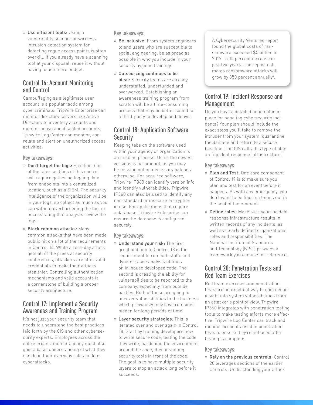» Use efficient tools: Using a vulnerability scanner or wireless intrusion detection system for detecting rogue access points is often overkill. If you already have a scanning tool at your disposal, reuse it without having to use more budget.

## Control 16: Account Monitoring and Control

Camouflaging as a legitimate user account is a popular tactic among cybercriminals. Tripwire Enterprise can monitor directory servers like Active Directory to inventory accounts and monitor active and disabled accounts. Tripwire Log Center can monitor, correlate and alert on unauthorized access activities.

### Key takeaways:

- » Don't forget the logs: Enabling a lot of the later sections of this control will require gathering logging data from endpoints into a centralized location, such as a SIEM. The security intelligence of the organization will be in your logs, so collect as much as you can without overburdening the tool or necessitating that analysts review the logs.
- » Block common attacks: Many common attacks that have been made public hit on a lot of the requirements in Control 16. While a zero-day attack gets all of the press at security conferences, attackers are after valid credentials to make their attacks stealthier. Controlling authentication mechanisms and valid accounts is a cornerstone of building a proper security architecture.

## Control 17: Implement a Security Awareness and Training Program

It's not just your security team that needs to understand the best practices laid forth by the CIS and other cybersecurity experts. Employees across the entire organization or agency must also gain a basic understanding of what they can do in their everyday roles to deter cyberattacks.

## Key takeaways:

- » Be inclusive: From system engineers to end users who are susceptible to social engineering, be as broad as possible in who you include in your security hygiene trainings.
- » Outsourcing continues to be ideal: Security teams are already understaffed, underfunded and overworked. Establishing an awareness training program from scratch will be a time-consuming process that may be better suited for a third-party to develop and deliver.

## Control 18: Application Software **Security**

Keeping tabs on the software used within your agency or organization is an ongoing process. Using the newest versions is paramount, as you may be missing out on necessary patches otherwise. For acquired software, Tripwire IP360 can identify version info and identify vulnerabilities. Tripwire IP360 can also be used to identify any non-standard or insecure encryption in use. For applications that require a database, Tripwire Enterprise can ensure the database is configured securely.

Key takeaways:

- » Understand your risk: The first great addition to Control 18 is the requirement to run both static and dynamic code analysis utilities on in-house developed code. The second is creating the ability for vulnerabilities to be reported to the company, especially from outside parties. Both of these are going to uncover vulnerabilities to the business which previously may have remained hidden for long periods of time.
- » Layer security strategies: This is iterated over and over again in Control 18. Start by training developers how to write secure code, testing the code they write, hardening the environment around the code, then installing security tools in front of the code. The goal is to have multiple security layers to stop an attack long before it succeeds.

A Cybersecurity Ventures report found the global costs of ransomware exceeded \$5 billion in 2017—a 15 percent increase in just two years. The report estimates ransomware attacks will grow by 350 percent annually<sup>4</sup>.

## Control 19: Incident Response and Management

Do you have a detailed action plan in place for handling cybersecurity incidents? Your plan should include the exact steps you'll take to remove the intruder from your system, quarantine the damage and return to a secure baseline. The CIS calls this type of plan an "incident response infrastructure."

## Key takeaways:

- » Plan and Test: One core component of Control 19 is to make sure you plan and test for an event before it happens. As with any emergency, you don't want to be figuring things out in the heat of the moment.
- » Define roles: Make sure your incident response infrastructure results in written records of any incidents, as well as clearly defined organizational roles and responsibilities. The National Institute of Standards and Technology (NIST) provides a framework you can use for reference.

# Control 20: Penetration Tests and Red Team Exercises

Red team exercises and penetration tests are an excellent way to gain deeper insight into system vulnerabilities from an attacker's point of view. Tripwire IP360 integrates with penetration testing tools to make testing efforts more effective. Tripwire Log Center can track and monitor accounts used in penetration tests to ensure they're not used after testing is complete.

## Key takeaways:

» Rely on the previous controls: Control 20 leverages sections of the earlier Controls. Understanding your attack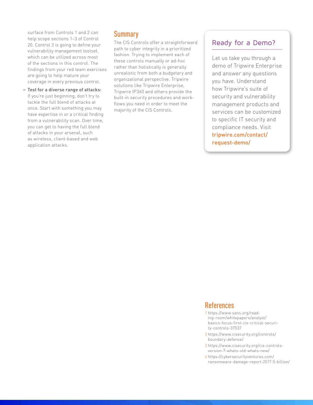surface from Controls 1 and 2 can help scope sections 1–3 of Control 20. Control 3 is going to define your vulnerability management toolset, which can be utilized across most of the sections in this control. The findings from your red team exercises are going to help mature your coverage in every previous control.

» Test for a diverse range of attacks: If you're just beginning, don't try to tackle the full blend of attacks at once. Start with something you may have expertise in or a critical finding from a vulnerability scan. Over time, you can get to having the full blend of attacks in your arsenal, such as wireless, client-based and web application attacks.

# **Summary**

The CIS Controls offer a straightforward path to cyber integrity in a prioritized fashion. Trying to implement each of these controls manually or ad-hoc rather than holistically is generally unrealistic from both a budgetary and organizational perspective. Tripwire solutions like Tripwire Enterprise, Tripwire IP360 and others provide the built-in security procedures and workflows you need in order to meet the majority of the CIS Controls.

# Ready for a Demo?

Let us take you through a demo of Tripwire Enterprise and answer any questions you have. Understand how Tripwire's suite of security and vulnerability management products and services can be customized to specific IT security and compliance needs. Visit [tripwire.com/contact/](https://www.tripwire.com/contact/request-demo/) [request-demo/](https://www.tripwire.com/contact/request-demo/)

## References

- 1 [https://www.sans.org/read](https://www.sans.org/reading-room/whitepapers/analyst/basics-focus-first-cis-critical-security-controls-37537)[ing-room/whitepapers/analyst/](https://www.sans.org/reading-room/whitepapers/analyst/basics-focus-first-cis-critical-security-controls-37537) [basics-focus-first-cis-critical-securi](https://www.sans.org/reading-room/whitepapers/analyst/basics-focus-first-cis-critical-security-controls-37537)[ty-controls-37537](https://www.sans.org/reading-room/whitepapers/analyst/basics-focus-first-cis-critical-security-controls-37537)
- 2 [https://www.cisecurity.org/controls/](https://www.cisecurity.org/controls/boundary-defense/) [boundary-defense/](https://www.cisecurity.org/controls/boundary-defense/)
- 3 [https://www.cisecurity.org/cis-controls](https://www.cisecurity.org/cis-controls-version-7-whats-old-whats-new/)[version-7-whats-old-whats-new/](https://www.cisecurity.org/cis-controls-version-7-whats-old-whats-new/)
- 4 [https://cybersecurityventures.com/](https://cybersecurityventures.com/ransomware-damage-report-2017-5-billion/) [ransomware-damage-report-2017-5-billion/](https://cybersecurityventures.com/ransomware-damage-report-2017-5-billion/)